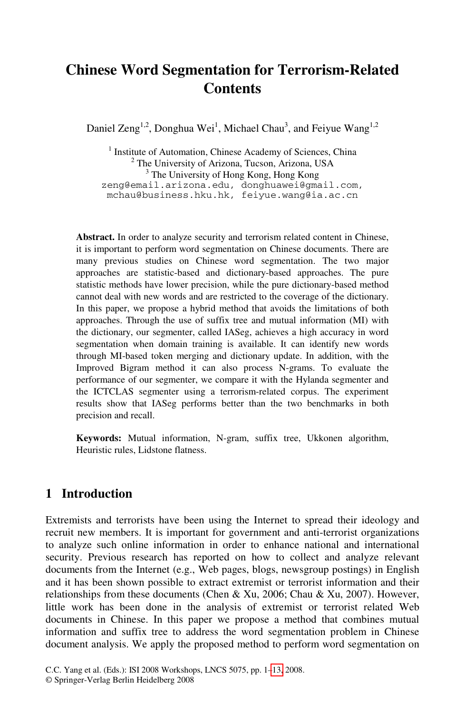# **Chinese Word Segmentation for Terrorism-Related Contents**

Daniel Zeng<sup>1,2</sup>, Donghua Wei<sup>1</sup>, Michael Chau<sup>3</sup>, and Feiyue Wang<sup>1,2</sup>

<sup>1</sup> Institute of Automation, Chinese Academy of Sciences, China  $\frac{2 \text{ The University of Arizona.} \text{Tuccon} \text{ A} \text{rizon: } \text{IISA}}$  The University of Arizona, Tucson, Arizona, USA 3 <sup>3</sup> The University of Hong Kong, Hong Kong zeng@email.arizona.edu, donghuawei@gmail.com, mchau@business.hku.hk, feiyue.wang@ia.ac.cn

**Abstract.** In order to analyze security and terrorism related content in Chinese, it is important to perform word segmentation on Chinese documents. There are many previous studies on Chinese word segmentation. The two major approaches are statistic-based and dictionary-based approaches. The pure statistic methods have lower precision, while the pure dictionary-based method cannot deal with new words and are restricted to the coverage of the dictionary. In this paper, we propose a hybrid method that avoids the limitations of both approaches. Through the use of suffix tree and mutual information (MI) with the dictionary, our segmenter, called IASeg, achieves a high accuracy in word segmentation when domain training is available. It can identify new words through MI-based token merging and dictionary update. In addition, with the Improved Bigram method it can also process N-grams. To evaluate the performance of our segmenter, we compare it with the Hylanda segmenter and the ICTCLAS segmenter using a terrorism-related corpus. The experiment results show that IASeg performs better than the two benchmarks in both precision and recall.

**Keywords:** Mutual information, N-gram, suffix tree, Ukkonen algorithm, Heuristic rules, Lidstone flatness.

### **1 Introduction**

Extremists and terrorists have been using the Internet to spread their ideology and recruit new members. It is important for government and anti-terrorist organizations to analyze such online information in order to enhance national and international security. Previous research has reported on how to collect and analyze relevant documents from the Internet (e[.g.,](#page-12-0) Web pages, blogs, newsgroup postings) in English and it has been shown possible to extract extremist or terrorist information and their relationships from these documents (Chen & Xu, 2006; Chau & Xu, 2007). However, little work has been done in the analysis of extremist or terrorist related Web documents in Chinese. In this paper we propose a method that combines mutual information and suffix tree to address the word segmentation problem in Chinese document analysis. We apply the proposed method to perform word segmentation on

C.C. Yang et al. (Eds.): ISI 2008 Workshops, LNCS 5075, pp. 1–13, 2008.

<sup>©</sup> Springer-Verlag Berlin Heidelberg 2008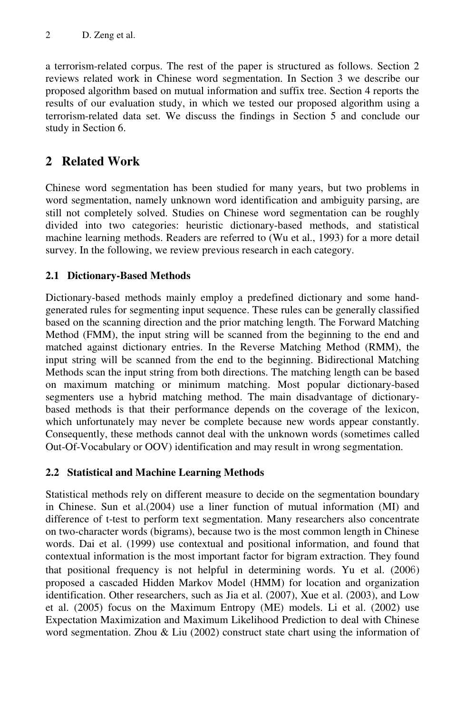a terrorism-related corpus. The rest of the paper is structured as follows. Section 2 reviews related work in Chinese word segmentation. In Section 3 we describe our proposed algorithm based on mutual information and suffix tree. Section 4 reports the results of our evaluation study, in which we tested our proposed algorithm using a terrorism-related data set. We discuss the findings in Section 5 and conclude our study in Section 6.

## **2 Related Work**

Chinese word segmentation has been studied for many years, but two problems in word segmentation, namely unknown word identification and ambiguity parsing, are still not completely solved. Studies on Chinese word segmentation can be roughly divided into two categories: heuristic dictionary-based methods, and statistical machine learning methods. Readers are referred to (Wu et al., 1993) for a more detail survey. In the following, we review previous research in each category.

## **2.1 Dictionary-Based Methods**

Dictionary-based methods mainly employ a predefined dictionary and some handgenerated rules for segmenting input sequence. These rules can be generally classified based on the scanning direction and the prior matching length. The Forward Matching Method (FMM), the input string will be scanned from the beginning to the end and matched against dictionary entries. In the Reverse Matching Method (RMM), the input string will be scanned from the end to the beginning. Bidirectional Matching Methods scan the input string from both directions. The matching length can be based on maximum matching or minimum matching. Most popular dictionary-based segmenters use a hybrid matching method. The main disadvantage of dictionarybased methods is that their performance depends on the coverage of the lexicon, which unfortunately may never be complete because new words appear constantly. Consequently, these methods cannot deal with the unknown words (sometimes called Out-Of-Vocabulary or OOV) identification and may result in wrong segmentation.

## **2.2 Statistical and Machine Learning Methods**

Statistical methods rely on different measure to decide on the segmentation boundary in Chinese. Sun et al.(2004) use a liner function of mutual information (MI) and difference of t-test to perform text segmentation. Many researchers also concentrate on two-character words (bigrams), because two is the most common length in Chinese words. Dai et al. (1999) use contextual and positional information, and found that contextual information is the most important factor for bigram extraction. They found that positional frequency is not helpful in determining words. Yu et al. (2006) proposed a cascaded Hidden Markov Model (HMM) for location and organization identification. Other researchers, such as Jia et al. (2007), Xue et al. (2003), and Low et al. (2005) focus on the Maximum Entropy (ME) models. Li et al. (2002) use Expectation Maximization and Maximum Likelihood Prediction to deal with Chinese word segmentation. Zhou & Liu (2002) construct state chart using the information of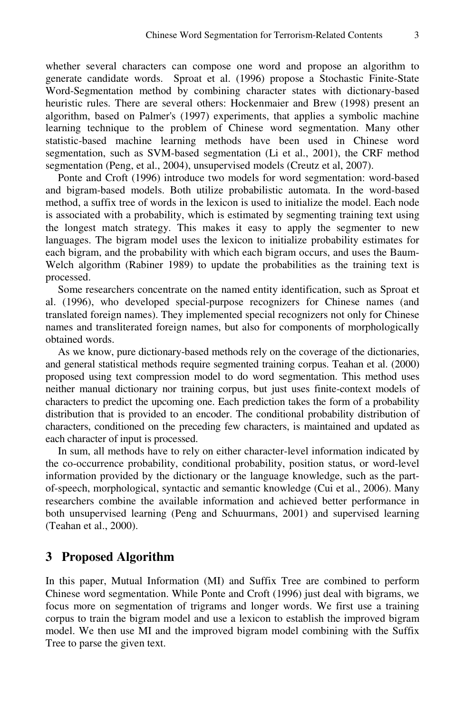whether several characters can compose one word and propose an algorithm to generate candidate words. Sproat et al. (1996) propose a Stochastic Finite-State Word-Segmentation method by combining character states with dictionary-based heuristic rules. There are several others: Hockenmaier and Brew (1998) present an algorithm, based on Palmer's (1997) experiments, that applies a symbolic machine learning technique to the problem of Chinese word segmentation. Many other statistic-based machine learning methods have been used in Chinese word segmentation, such as SVM-based segmentation (Li et al., 2001), the CRF method segmentation (Peng, et al., 2004), unsupervised models (Creutz et al, 2007).

Ponte and Croft (1996) introduce two models for word segmentation: word-based and bigram-based models. Both utilize probabilistic automata. In the word-based method, a suffix tree of words in the lexicon is used to initialize the model. Each node is associated with a probability, which is estimated by segmenting training text using the longest match strategy. This makes it easy to apply the segmenter to new languages. The bigram model uses the lexicon to initialize probability estimates for each bigram, and the probability with which each bigram occurs, and uses the Baum-Welch algorithm (Rabiner 1989) to update the probabilities as the training text is processed.

Some researchers concentrate on the named entity identification, such as Sproat et al. (1996), who developed special-purpose recognizers for Chinese names (and translated foreign names). They implemented special recognizers not only for Chinese names and transliterated foreign names, but also for components of morphologically obtained words.

As we know, pure dictionary-based methods rely on the coverage of the dictionaries, and general statistical methods require segmented training corpus. Teahan et al. (2000) proposed using text compression model to do word segmentation. This method uses neither manual dictionary nor training corpus, but just uses finite-context models of characters to predict the upcoming one. Each prediction takes the form of a probability distribution that is provided to an encoder. The conditional probability distribution of characters, conditioned on the preceding few characters, is maintained and updated as each character of input is processed.

In sum, all methods have to rely on either character-level information indicated by the co-occurrence probability, conditional probability, position status, or word-level information provided by the dictionary or the language knowledge, such as the partof-speech, morphological, syntactic and semantic knowledge (Cui et al., 2006). Many researchers combine the available information and achieved better performance in both unsupervised learning (Peng and Schuurmans, 2001) and supervised learning (Teahan et al., 2000).

### **3 Proposed Algorithm**

In this paper, Mutual Information (MI) and Suffix Tree are combined to perform Chinese word segmentation. While Ponte and Croft (1996) just deal with bigrams, we focus more on segmentation of trigrams and longer words. We first use a training corpus to train the bigram model and use a lexicon to establish the improved bigram model. We then use MI and the improved bigram model combining with the Suffix Tree to parse the given text.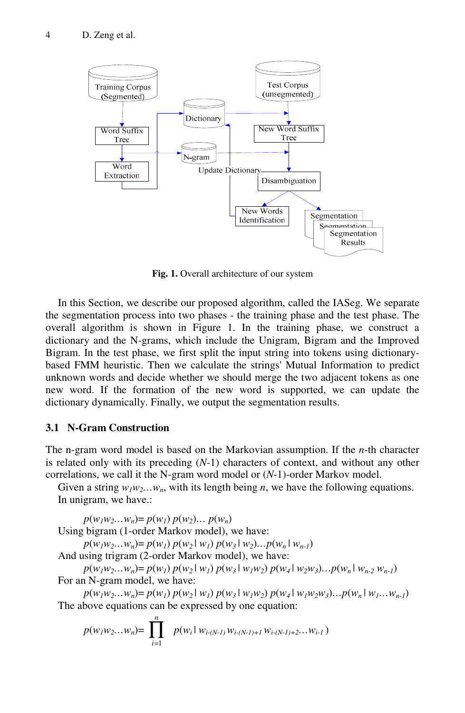

**Fig. 1.** Overall architecture of our system

In this Section, we describe our proposed algorithm, called the IASeg. We separate the segmentation process into two phases - the training phase and the test phase. The overall algorithm is shown in Figure 1. In the training phase, we construct a dictionary and the N-grams, which include the Unigram, Bigram and the Improved Bigram. In the test phase, we first split the input string into tokens using dictionarybased FMM heuristic. Then we calculate the strings' Mutual Information to predict unknown words and decide whether we should merge the two adjacent tokens as one new word. If the formation of the new word is supported, we can update the dictionary dynamically. Finally, we output the segmentation results.

#### **3.1 N-Gram Construction**

The n-gram word model is based on the Markovian assumption. If the *n*-th character is related only with its preceding (*N*-1) characters of context, and without any other correlations, we call it the N-gram word model or (*N*-1)-order Markov model.

Given a string  $w_1w_2...w_n$ , with its length being *n*, we have the following equations. In unigram, we have.:

 $p(w_1w_2...w_n)=p(w_1)p(w_2)...p(w_n)$ 

Using bigram (1-order Markov model), we have:

 $p(w_1w_2...w_n) = p(w_1) p(w_2|w_1) p(w_3|w_2)...p(w_n|w_{n-1})$ 

And using trigram (2-order Markov model), we have:

 $p(w_1w_2...w_n) = p(w_1) p(w_2 | w_1) p(w_3 | w_1w_2) p(w_4 | w_2w_3) \dots p(w_n | w_{n-2} w_{n-1})$ For an N-gram model, we have:

 $p(w_1w_2...w_n) = p(w_1) p(w_2 | w_1) p(w_3 | w_1w_2) p(w_4 | w_1w_2w_3) ... p(w_n | w_1...w_{n-1})$ The above equations can be expressed by one equation:

$$
p(w_{i}w_{2}...w_{n}) = \prod_{i=1}^{n} p(w_{i} | w_{i \cdot (N-1)} w_{i \cdot (N-1)+1} w_{i \cdot (N-1)+2}...w_{i \cdot 1})
$$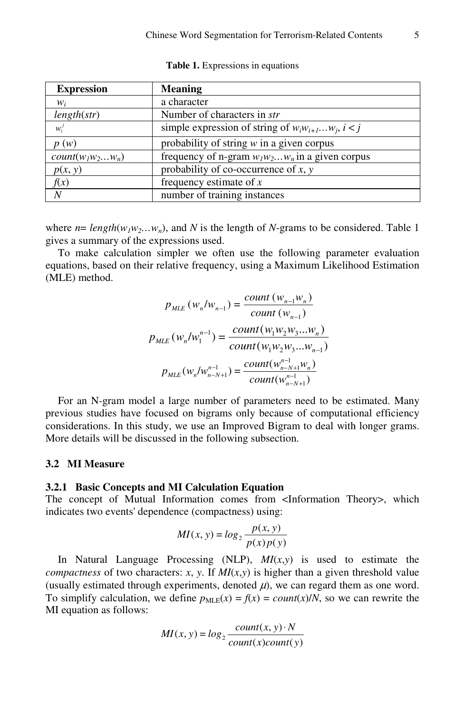**Table 1.** Expressions in equations

| <b>Expression</b>  | <b>Meaning</b>                                           |  |  |
|--------------------|----------------------------------------------------------|--|--|
| $W_i$              | a character                                              |  |  |
| length(str)        | Number of characters in <i>str</i>                       |  |  |
| $W_i^j$            | simple expression of string of $w_iw_{i+1}w_i$ , $i < j$ |  |  |
| p(w)               | probability of string $w$ in a given corpus              |  |  |
| $count(w_1w_2w_n)$ | frequency of n-gram $w_1w_2w_n$ in a given corpus        |  |  |
| p(x, y)            | probability of co-occurrence of $x$ , $y$                |  |  |
| f(x)               | frequency estimate of $x$                                |  |  |
| N                  | number of training instances                             |  |  |

where  $n=$  *length*( $w_1w_2...w_n$ ), and *N* is the length of *N*-grams to be considered. Table 1 gives a summary of the expressions used.

To make calculation simpler we often use the following parameter evaluation equations, based on their relative frequency, using a Maximum Likelihood Estimation (MLE) method.

$$
p_{MLE}(w_n/w_{n-1}) = \frac{count(w_{n-1}w_n)}{count(w_{n-1})}
$$

$$
p_{MLE}(w_n/w_1^{n-1}) = \frac{count(w_1w_2w_3...w_n)}{count(w_1w_2w_3...w_{n-1})}
$$

$$
p_{MLE}(w_n/w_{n-N+1}^{n-1}) = \frac{count(w_{n-N+1}^{n-1}w_n)}{count(w_{n-N+1}^{n-1})}
$$

For an N-gram model a large number of parameters need to be estimated. Many previous studies have focused on bigrams only because of computational efficiency considerations. In this study, we use an Improved Bigram to deal with longer grams. More details will be discussed in the following subsection.

#### **3.2 MI Measure**

#### **3.2.1 Basic Concepts and MI Calculation Equation**

The concept of Mutual Information comes from <Information Theory>, which indicates two events' dependence (compactness) using:

$$
MI(x, y) = log_2 \frac{p(x, y)}{p(x)p(y)}
$$

In Natural Language Processing (NLP),  $MI(x,y)$  is used to estimate the *compactness* of two characters: *x*, *y*. If  $MI(x,y)$  is higher than a given threshold value (usually estimated through experiments, denoted  $\mu$ ), we can regard them as one word. To simplify calculation, we define  $p_{MLE}(x) = f(x) = count(x)/N$ , so we can rewrite the MI equation as follows:

$$
MI(x, y) = log_2 \frac{count(x, y) \cdot N}{count(x)count(y)}
$$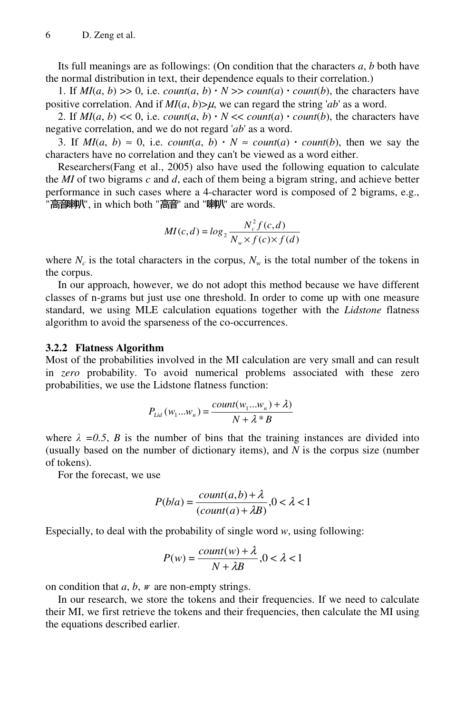Its full meanings are as followings: (On condition that the characters *a*, *b* both have the normal distribution in text, their dependence equals to their correlation.)

1. If  $MI(a, b) \gg 0$ , i.e.  $count(a, b) \cdot N \gg count(a) \cdot count(b)$ , the characters have positive correlation. And if  $MI(a, b) > \mu$ , we can regard the string '*ab*' as a word.

2. If  $MI(a, b) \ll 0$ , i.e.  $count(a, b) \cdot N \ll count(a) \cdot count(b)$ , the characters have negative correlation, and we do not regard '*ab*' as a word.

3. If  $MI(a, b) \approx 0$ , i.e. *count*(*a*, *b*)  $\cdot$  *N*  $\approx$  *count*(*a*)  $\cdot$  *count*(*b*), then we say the characters have no correlation and they can't be viewed as a word either.

Researchers(Fang et al., 2005) also have used the following equation to calculate the *MI* of two bigrams *c* and *d*, each of them being a bigram string, and achieve better performance in such cases where a 4-character word is composed of 2 bigrams, e.g., "高音喇叭", in which both "高音" and "喇叭" are words.

$$
MI(c,d) = log_2 \frac{N_c^2 f(c,d)}{N_w \times f(c) \times f(d)}
$$

where  $N_c$  is the total characters in the corpus,  $N_w$  is the total number of the tokens in the corpus.

In our approach, however, we do not adopt this method because we have different classes of n-grams but just use one threshold. In order to come up with one measure standard, we using MLE calculation equations together with the *Lidstone* flatness algorithm to avoid the sparseness of the co-occurrences.

#### **3.2.2 Flatness Algorithm**

Most of the probabilities involved in the MI calculation are very small and can result in *zero* probability. To avoid numerical problems associated with these zero probabilities, we use the Lidstone flatness function:

$$
P_{Lid}(w_1...w_n) = \frac{count(w_1...w_n) + \lambda}{N + \lambda * B}
$$

where  $\lambda = 0.5$ , *B* is the number of bins that the training instances are divided into (usually based on the number of dictionary items), and *N* is the corpus size (number of tokens).

For the forecast, we use

$$
P(b/a) = \frac{count(a,b) + \lambda}{(count(a) + \lambda B)}, 0 < \lambda < 1
$$

Especially, to deal with the probability of single word *w*, using following:

$$
P(w) = \frac{count(w) + \lambda}{N + \lambda B}, 0 < \lambda < 1
$$

on condition that *a*, *b*, w are non-empty strings.

In our research, we store the tokens and their frequencies. If we need to calculate their MI, we first retrieve the tokens and their frequencies, then calculate the MI using the equations described earlier.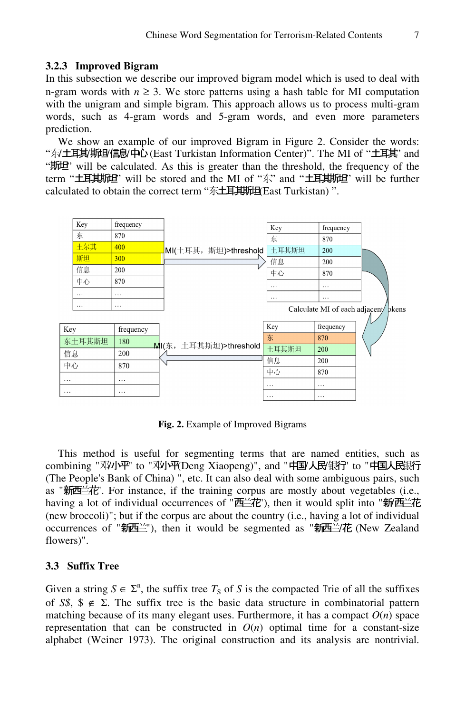#### **3.2.3 Improved Bigram**

In this subsection we describe our improved bigram model which is used to deal with n-gram words with  $n \geq 3$ . We store patterns using a hash table for MI computation with the unigram and simple bigram. This approach allows us to process multi-gram words, such as 4-gram words and 5-gram words, and even more parameters prediction.

We show an example of our improved Bigram in Figure 2. Consider the words: "尔土耳其斯坦信息中心 (East Turkistan Information Center)". The MI of "土耳其" and "斯坦" will be calculated. As this is greater than the threshold, the frequency of the term "土耳其斯坦" will be stored and the MI of "东" and "土耳其斯坦" will be further calculated to obtain the correct term "东土耳其斯坦(East Turkistan)".



**Fig. 2.** Example of Improved Bigrams

This method is useful for segmenting terms that are named entities, such as combining "邓小平" to "邓小平(Deng Xiaopeng)", and "中国人民银行" to "中国人民银行 (The People's Bank of China) ", etc. It can also deal with some ambiguous pairs, such as "新西兰花". For instance, if the training corpus are mostly about vegetables (i.e., having a lot of individual occurrences of "西兰花"), then it would split into "新西兰花" (new broccoli)"; but if the corpus are about the country (i.e., having a lot of individual occurrences of "新西兰"), then it would be segmented as "新西兰/花 (New Zealand flowers)".

#### **3.3 Suffix Tree**

Given a string  $S \in \Sigma^n$ , the suffix tree  $T_S$  of *S* is the compacted Trie of all the suffixes of  $S^* \times S$ . The suffix tree is the hosis data structure in combinatorial pattern of *S\$*,  $\frac{1}{2} \notin \Sigma$ . The suffix tree is the basic data structure in combinatorial pattern matching because of its many elegant uses. Furthermore, it has a compact  $O(n)$  space representation that can be constructed in  $O(n)$  optimal time for a constant-size alphabet (Weiner 1973). The original construction and its analysis are nontrivial.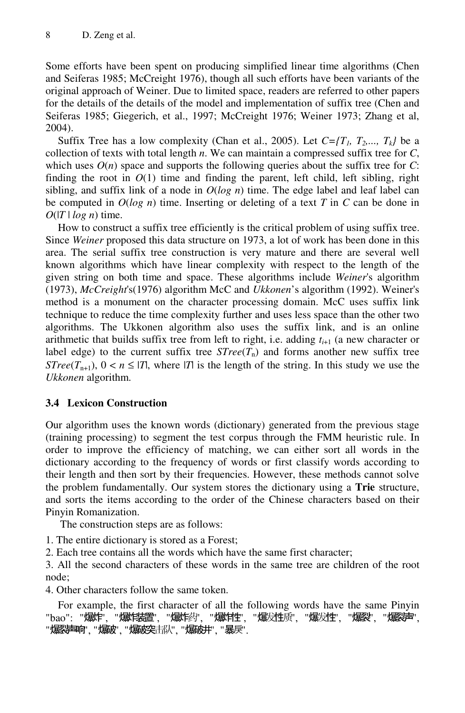Some efforts have been spent on producing simplified linear time algorithms (Chen and Seiferas 1985; McCreight 1976), though all such efforts have been variants of the original approach of Weiner. Due to limited space, readers are referred to other papers for the details of the details of the model and implementation of suffix tree (Chen and Seiferas 1985; Giegerich, et al., 1997; McCreight 1976; Weiner 1973; Zhang et al, 2004).

Suffix Tree has a low complexity (Chan et al., 2005). Let  $C = \{T_1, T_2, ..., T_k\}$  be a collection of texts with total length *n*. We can maintain a compressed suffix tree for *C*, which uses  $O(n)$  space and supports the following queries about the suffix tree for  $C$ : finding the root in  $O(1)$  time and finding the parent, left child, left sibling, right sibling, and suffix link of a node in *O*(*log n*) time. The edge label and leaf label can be computed in  $O(log n)$  time. Inserting or deleting of a text *T* in *C* can be done in  $O(|T| \log n)$  time.

How to construct a suffix tree efficiently is the critical problem of using suffix tree. Since *Weiner* proposed this data structure on 1973, a lot of work has been done in this area. The serial suffix tree construction is very mature and there are several well known algorithms which have linear complexity with respect to the length of the given string on both time and space. These algorithms include *Weiner*'s algorithm (1973), *McCreight*'s(1976) algorithm McC and *Ukkonen*'s algorithm (1992). Weiner's method is a monument on the character processing domain. McC uses suffix link technique to reduce the time complexity further and uses less space than the other two algorithms. The Ukkonen algorithm also uses the suffix link, and is an online arithmetic that builds suffix tree from left to right, i.e. adding  $t_{i+1}$  (a new character or label edge) to the current suffix tree  $STree(T_n)$  and forms another new suffix tree *STree*( $T_{n+1}$ ),  $0 < n \leq |T|$ , where  $|T|$  is the length of the string. In this study we use the *Ukkonen* algorithm.

### **3.4 Lexicon Construction**

Our algorithm uses the known words (dictionary) generated from the previous stage (training processing) to segment the test corpus through the FMM heuristic rule. In order to improve the efficiency of matching, we can either sort all words in the dictionary according to the frequency of words or first classify words according to their length and then sort by their frequencies. However, these methods cannot solve the problem fundamentally. Our system stores the dictionary using a **Trie** structure, and sorts the items according to the order of the Chinese characters based on their Pinyin Romanization.

The construction steps are as follows:

1. The entire dictionary is stored as a Forest;

2. Each tree contains all the words which have the same first character;

3. All the second characters of these words in the same tree are children of the root node;

4. Other characters follow the same token.

For example, the first character of all the following words have the same Pinyin "bao": "爆炸", "爆炸装置", "爆炸药", "爆炸性", "爆发性质", "爆发性", "爆裂", "爆裂声", "爆裂声响","爆破","爆破突击队","爆破井","暴戾".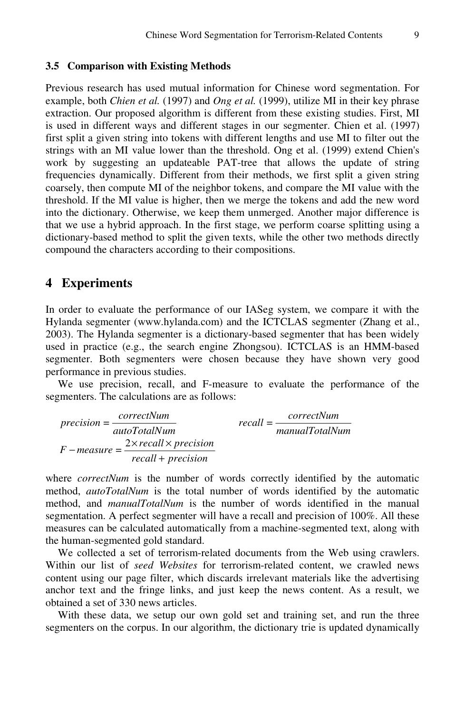#### **3.5 Comparison with Existing Methods**

Previous research has used mutual information for Chinese word segmentation. For example, both *Chien et al.* (1997) and *Ong et al.* (1999), utilize MI in their key phrase extraction. Our proposed algorithm is different from these existing studies. First, MI is used in different ways and different stages in our segmenter. Chien et al. (1997) first split a given string into tokens with different lengths and use MI to filter out the strings with an MI value lower than the threshold. Ong et al. (1999) extend Chien's work by suggesting an updateable PAT-tree that allows the update of string frequencies dynamically. Different from their methods, we first split a given string coarsely, then compute MI of the neighbor tokens, and compare the MI value with the threshold. If the MI value is higher, then we merge the tokens and add the new word into the dictionary. Otherwise, we keep them unmerged. Another major difference is that we use a hybrid approach. In the first stage, we perform coarse splitting using a dictionary-based method to split the given texts, while the other two methods directly compound the characters according to their compositions.

### **4 Experiments**

In order to evaluate the performance of our IASeg system, we compare it with the Hylanda segmenter (www.hylanda.com) and the ICTCLAS segmenter (Zhang et al., 2003). The Hylanda segmenter is a dictionary-based segmenter that has been widely used in practice (e.g., the search engine Zhongsou). ICTCLAS is an HMM-based segmenter. Both segmenters were chosen because they have shown very good performance in previous studies.

We use precision, recall, and F-measure to evaluate the performance of the segmenters. The calculations are as follows:

$$
precision = \frac{correctNum}{autoTotalNum} \qquad recall = \frac{correctNum}{manuelTotalNum}
$$
\n
$$
F-measure = \frac{2 \times recall \times precision}{recall + precision}
$$

where *correctNum* is the number of words correctly identified by the automatic method, *autoTotalNum* is the total number of words identified by the automatic method, and *manualTotalNum* is the number of words identified in the manual segmentation. A perfect segmenter will have a recall and precision of 100%. All these measures can be calculated automatically from a machine-segmented text, along with the human-segmented gold standard.

We collected a set of terrorism-related documents from the Web using crawlers. Within our list of *seed Websites* for terrorism-related content, we crawled news content using our page filter, which discards irrelevant materials like the advertising anchor text and the fringe links, and just keep the news content. As a result, we obtained a set of 330 news articles.

With these data, we setup our own gold set and training set, and run the three segmenters on the corpus. In our algorithm, the dictionary trie is updated dynamically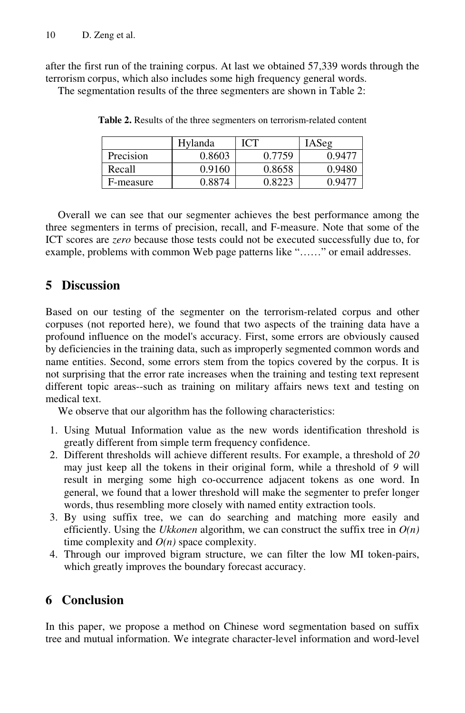after the first run of the training corpus. At last we obtained 57,339 words through the terrorism corpus, which also includes some high frequency general words.

The segmentation results of the three segmenters are shown in Table 2:

|           | Hvlanda | $TC^T$  | IASeg  |
|-----------|---------|---------|--------|
| Precision | 0.8603  | 0.7759  | በ 9477 |
| Recall    | 0.9160  | 0.8658  | 0.9480 |
| F-measure | 0 8874  | (18222) | በ ዓ47′ |

**Table 2.** Results of the three segmenters on terrorism-related content

Overall we can see that our segmenter achieves the best performance among the three segmenters in terms of precision, recall, and F-measure. Note that some of the ICT scores are *zero* because those tests could not be executed successfully due to, for example, problems with common Web page patterns like "……" or email addresses.

## **5 Discussion**

Based on our testing of the segmenter on the terrorism-related corpus and other corpuses (not reported here), we found that two aspects of the training data have a profound influence on the model's accuracy. First, some errors are obviously caused by deficiencies in the training data, such as improperly segmented common words and name entities. Second, some errors stem from the topics covered by the corpus. It is not surprising that the error rate increases when the training and testing text represent different topic areas--such as training on military affairs news text and testing on medical text.

We observe that our algorithm has the following characteristics:

- 1. Using Mutual Information value as the new words identification threshold is greatly different from simple term frequency confidence.
- 2. Different thresholds will achieve different results. For example, a threshold of *20* may just keep all the tokens in their original form, while a threshold of *9* will result in merging some high co-occurrence adjacent tokens as one word. In general, we found that a lower threshold will make the segmenter to prefer longer words, thus resembling more closely with named entity extraction tools.
- 3. By using suffix tree, we can do searching and matching more easily and efficiently. Using the *Ukkonen* algorithm, we can construct the suffix tree in *O(n)* time complexity and *O(n)* space complexity.
- 4. Through our improved bigram structure, we can filter the low MI token-pairs, which greatly improves the boundary forecast accuracy.

## **6 Conclusion**

In this paper, we propose a method on Chinese word segmentation based on suffix tree and mutual information. We integrate character-level information and word-level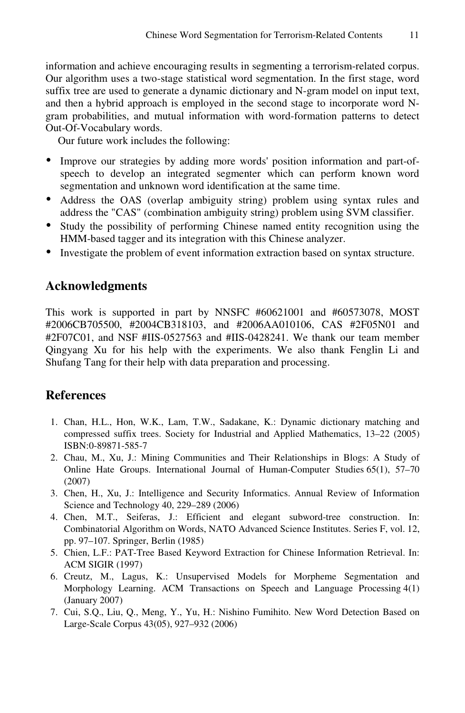information and achieve encouraging results in segmenting a terrorism-related corpus. Our algorithm uses a two-stage statistical word segmentation. In the first stage, word suffix tree are used to generate a dynamic dictionary and N-gram model on input text, and then a hybrid approach is employed in the second stage to incorporate word Ngram probabilities, and mutual information with word-formation patterns to detect Out-Of-Vocabulary words.

Our future work includes the following:

- Improve our strategies by adding more words' position information and part-ofspeech to develop an integrated segmenter which can perform known word segmentation and unknown word identification at the same time.
- y Address the OAS (overlap ambiguity string) problem using syntax rules and address the "CAS" (combination ambiguity string) problem using SVM classifier.
- Study the possibility of performing Chinese named entity recognition using the HMM-based tagger and its integration with this Chinese analyzer.
- Investigate the problem of event information extraction based on syntax structure.

## **Acknowledgments**

This work is supported in part by NNSFC #60621001 and #60573078, MOST #2006CB705500, #2004CB318103, and #2006AA010106, CAS #2F05N01 and #2F07C01, and NSF #IIS-0527563 and #IIS-0428241. We thank our team member Qingyang Xu for his help with the experiments. We also thank Fenglin Li and Shufang Tang for their help with data preparation and processing.

## **References**

- 1. Chan, H.L., Hon, W.K., Lam, T.W., Sadakane, K.: Dynamic dictionary matching and compressed suffix trees. Society for Industrial and Applied Mathematics, 13–22 (2005) ISBN:0-89871-585-7
- 2. Chau, M., Xu, J.: Mining Communities and Their Relationships in Blogs: A Study of Online Hate Groups. International Journal of Human-Computer Studies 65(1), 57–70 (2007)
- 3. Chen, H., Xu, J.: Intelligence and Security Informatics. Annual Review of Information Science and Technology 40, 229–289 (2006)
- 4. Chen, M.T., Seiferas, J.: Efficient and elegant subword-tree construction. In: Combinatorial Algorithm on Words, NATO Advanced Science Institutes. Series F, vol. 12, pp. 97–107. Springer, Berlin (1985)
- 5. Chien, L.F.: PAT-Tree Based Keyword Extraction for Chinese Information Retrieval. In: ACM SIGIR (1997)
- 6. Creutz, M., Lagus, K.: Unsupervised Models for Morpheme Segmentation and Morphology Learning. ACM Transactions on Speech and Language Processing 4(1) (January 2007)
- 7. Cui, S.Q., Liu, Q., Meng, Y., Yu, H.: Nishino Fumihito. New Word Detection Based on Large-Scale Corpus 43(05), 927–932 (2006)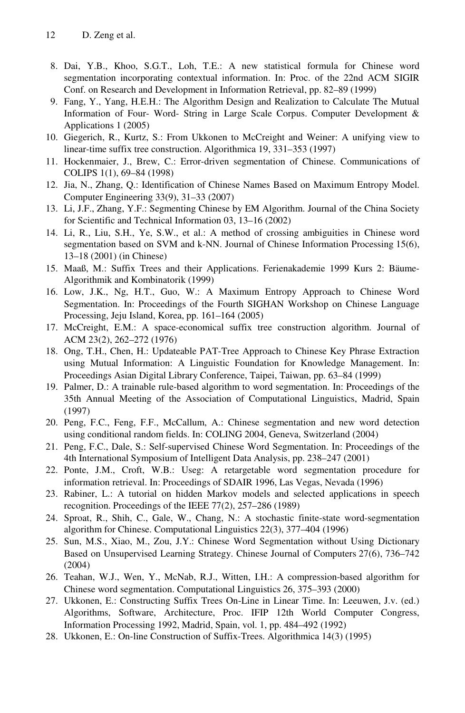- 8. Dai, Y.B., Khoo, S.G.T., Loh, T.E.: A new statistical formula for Chinese word segmentation incorporating contextual information. In: Proc. of the 22nd ACM SIGIR Conf. on Research and Development in Information Retrieval, pp. 82–89 (1999)
- 9. Fang, Y., Yang, H.E.H.: The Algorithm Design and Realization to Calculate The Mutual Information of Four- Word- String in Large Scale Corpus. Computer Development & Applications 1 (2005)
- 10. Giegerich, R., Kurtz, S.: From Ukkonen to McCreight and Weiner: A unifying view to linear-time suffix tree construction. Algorithmica 19, 331–353 (1997)
- 11. Hockenmaier, J., Brew, C.: Error-driven segmentation of Chinese. Communications of COLIPS 1(1), 69–84 (1998)
- 12. Jia, N., Zhang, Q.: Identification of Chinese Names Based on Maximum Entropy Model. Computer Engineering 33(9), 31–33 (2007)
- 13. Li, J.F., Zhang, Y.F.: Segmenting Chinese by EM Algorithm. Journal of the China Society for Scientific and Technical Information 03, 13–16 (2002)
- 14. Li, R., Liu, S.H., Ye, S.W., et al.: A method of crossing ambiguities in Chinese word segmentation based on SVM and k-NN. Journal of Chinese Information Processing 15(6), 13–18 (2001) (in Chinese)
- 15. Maaß, M.: Suffix Trees and their Applications. Ferienakademie 1999 Kurs 2: Bäume-Algorithmik and Kombinatorik (1999)
- 16. Low, J.K., Ng, H.T., Guo, W.: A Maximum Entropy Approach to Chinese Word Segmentation. In: Proceedings of the Fourth SIGHAN Workshop on Chinese Language Processing, Jeju Island, Korea, pp. 161–164 (2005)
- 17. McCreight, E.M.: A space-economical suffix tree construction algorithm. Journal of ACM 23(2), 262–272 (1976)
- 18. Ong, T.H., Chen, H.: Updateable PAT-Tree Approach to Chinese Key Phrase Extraction using Mutual Information: A Linguistic Foundation for Knowledge Management. In: Proceedings Asian Digital Library Conference, Taipei, Taiwan, pp. 63–84 (1999)
- 19. Palmer, D.: A trainable rule-based algorithm to word segmentation. In: Proceedings of the 35th Annual Meeting of the Association of Computational Linguistics, Madrid, Spain (1997)
- 20. Peng, F.C., Feng, F.F., McCallum, A.: Chinese segmentation and new word detection using conditional random fields. In: COLING 2004, Geneva, Switzerland (2004)
- 21. Peng, F.C., Dale, S.: Self-supervised Chinese Word Segmentation. In: Proceedings of the 4th International Symposium of Intelligent Data Analysis, pp. 238–247 (2001)
- 22. Ponte, J.M., Croft, W.B.: Useg: A retargetable word segmentation procedure for information retrieval. In: Proceedings of SDAIR 1996, Las Vegas, Nevada (1996)
- 23. Rabiner, L.: A tutorial on hidden Markov models and selected applications in speech recognition. Proceedings of the IEEE 77(2), 257–286 (1989)
- 24. Sproat, R., Shih, C., Gale, W., Chang, N.: A stochastic finite-state word-segmentation algorithm for Chinese. Computational Linguistics 22(3), 377–404 (1996)
- 25. Sun, M.S., Xiao, M., Zou, J.Y.: Chinese Word Segmentation without Using Dictionary Based on Unsupervised Learning Strategy. Chinese Journal of Computers 27(6), 736–742 (2004)
- 26. Teahan, W.J., Wen, Y., McNab, R.J., Witten, I.H.: A compression-based algorithm for Chinese word segmentation. Computational Linguistics 26, 375–393 (2000)
- 27. Ukkonen, E.: Constructing Suffix Trees On-Line in Linear Time. In: Leeuwen, J.v. (ed.) Algorithms, Software, Architecture, Proc. IFIP 12th World Computer Congress, Information Processing 1992, Madrid, Spain, vol. 1, pp. 484–492 (1992)
- 28. Ukkonen, E.: On-line Construction of Suffix-Trees. Algorithmica 14(3) (1995)